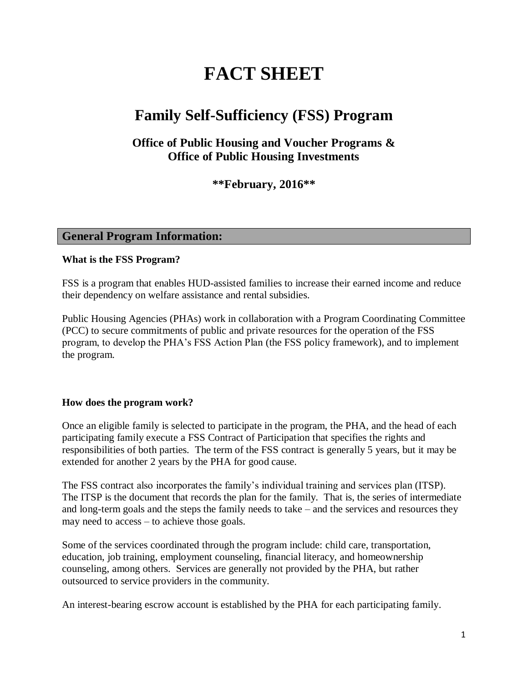# **FACT SHEET**

# **Family Self-Sufficiency (FSS) Program**

# **Office of Public Housing and Voucher Programs & Office of Public Housing Investments**

**\*\*February, 2016\*\*** 

# **General Program Information:**

#### **What is the FSS Program?**

FSS is a program that enables HUD-assisted families to increase their earned income and reduce their dependency on welfare assistance and rental subsidies.

Public Housing Agencies (PHAs) work in collaboration with a Program Coordinating Committee (PCC) to secure commitments of public and private resources for the operation of the FSS program, to develop the PHA's FSS Action Plan (the FSS policy framework), and to implement the program.

# **How does the program work?**

Once an eligible family is selected to participate in the program, the PHA, and the head of each participating family execute a FSS Contract of Participation that specifies the rights and responsibilities of both parties. The term of the FSS contract is generally 5 years, but it may be extended for another 2 years by the PHA for good cause.

The FSS contract also incorporates the family's individual training and services plan (ITSP). The ITSP is the document that records the plan for the family. That is, the series of intermediate and long-term goals and the steps the family needs to take – and the services and resources they may need to access – to achieve those goals.

Some of the services coordinated through the program include: child care, transportation, education, job training, employment counseling, financial literacy, and homeownership counseling, among others. Services are generally not provided by the PHA, but rather outsourced to service providers in the community.

An interest-bearing escrow account is established by the PHA for each participating family.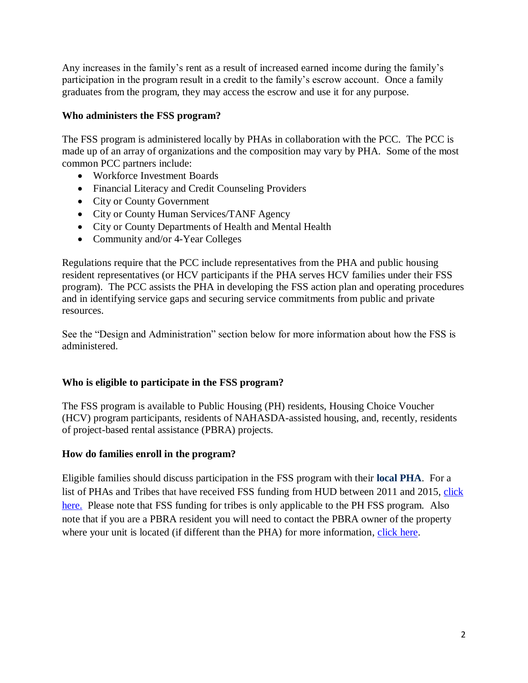Any increases in the family's rent as a result of increased earned income during the family's participation in the program result in a credit to the family's escrow account. Once a family graduates from the program, they may access the escrow and use it for any purpose.

# **Who administers the FSS program?**

The FSS program is administered locally by PHAs in collaboration with the PCC. The PCC is made up of an array of organizations and the composition may vary by PHA. Some of the most common PCC partners include:

- Workforce Investment Boards
- Financial Literacy and Credit Counseling Providers
- City or County Government
- City or County Human Services/TANF Agency
- City or County Departments of Health and Mental Health
- Community and/or 4-Year Colleges

Regulations require that the PCC include representatives from the PHA and public housing resident representatives (or HCV participants if the PHA serves HCV families under their FSS program). The PCC assists the PHA in developing the FSS action plan and operating procedures and in identifying service gaps and securing service commitments from public and private resources.

See the "Design and Administration" section below for more information about how the FSS is administered.

# **Who is eligible to participate in the FSS program?**

The FSS program is available to Public Housing (PH) residents, Housing Choice Voucher (HCV) program participants, residents of NAHASDA-assisted housing, and, recently, residents of project-based rental assistance (PBRA) projects.

# **How do families enroll in the program?**

Eligible families should discuss participation in the FSS program with their **[local PHA](http://portal.hud.gov/hudportal/HUD?src=/program_offices/public_indian_housing/pha/contacts)**. For a list of PHAs and Tribes that have received FSS funding from HUD between 2011 and 2015, [click](http://portal.hud.gov/hudportal/documents/huddoc?id=tribesaward2008-2012.pdf)  [here.](http://portal.hud.gov/hudportal/documents/huddoc?id=tribesaward2008-2012.pdf) Please note that FSS funding for tribes is only applicable to the PH FSS program. Also note that if you are a PBRA resident you will need to contact the PBRA owner of the property where your unit is located (if different than the PHA) for more information, [click here.](http://www.hud.gov/apps/section8/index.cfm)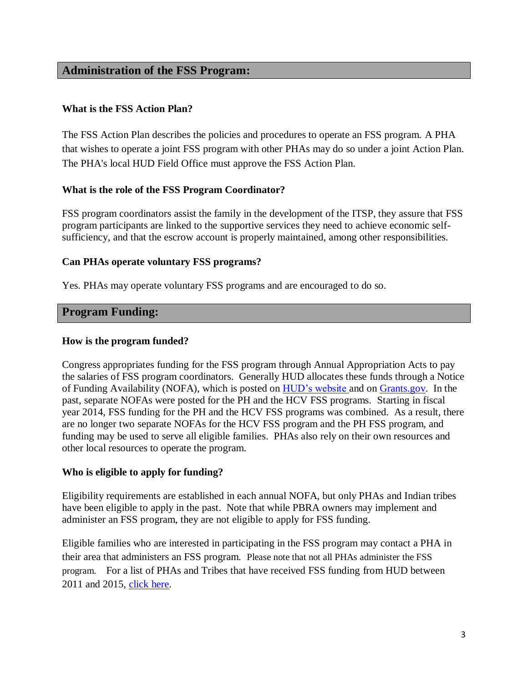# **Administration of the FSS Program:**

# **What is the FSS Action Plan?**

The FSS Action Plan describes the policies and procedures to operate an FSS program. A PHA that wishes to operate a joint FSS program with other PHAs may do so under a joint Action Plan. The PHA's local HUD Field Office must approve the FSS Action Plan.

#### **What is the role of the FSS Program Coordinator?**

FSS program coordinators assist the family in the development of the ITSP, they assure that FSS program participants are linked to the supportive services they need to achieve economic selfsufficiency, and that the escrow account is properly maintained, among other responsibilities.

#### **Can PHAs operate voluntary FSS programs?**

Yes. PHAs may operate voluntary FSS programs and are encouraged to do so.

# **Program Funding:**

#### **How is the program funded?**

Congress appropriates funding for the FSS program through Annual Appropriation Acts to pay the salaries of FSS program coordinators. Generally HUD allocates these funds through a Notice of Funding Availability (NOFA), which is posted o[n HUD's website](http://portal.hud.gov/hudportal/HUD?src=/program_offices/administration/grants/fundsavail) and on [Grants.gov.](http://www.grants.gov/) In the past, separate NOFAs were posted for the PH and the HCV FSS programs. Starting in fiscal year 2014, FSS funding for the PH and the HCV FSS programs was combined. As a result, there are no longer two separate NOFAs for the HCV FSS program and the PH FSS program, and funding may be used to serve all eligible families. PHAs also rely on their own resources and other local resources to operate the program.

#### **Who is eligible to apply for funding?**

Eligibility requirements are established in each annual NOFA, but only PHAs and Indian tribes have been eligible to apply in the past. Note that while PBRA owners may implement and administer an FSS program, they are not eligible to apply for FSS funding.

Eligible families who are interested in participating in the FSS program may contact a PHA in their area that administers an FSS program. Please note that not all PHAs administer the FSS program. For a list of PHAs and Tribes that have received FSS funding from HUD between 2011 and 2015, [click here.](http://portal.hud.gov/hudportal/documents/huddoc?id=tribesaward2008-2012.pdf)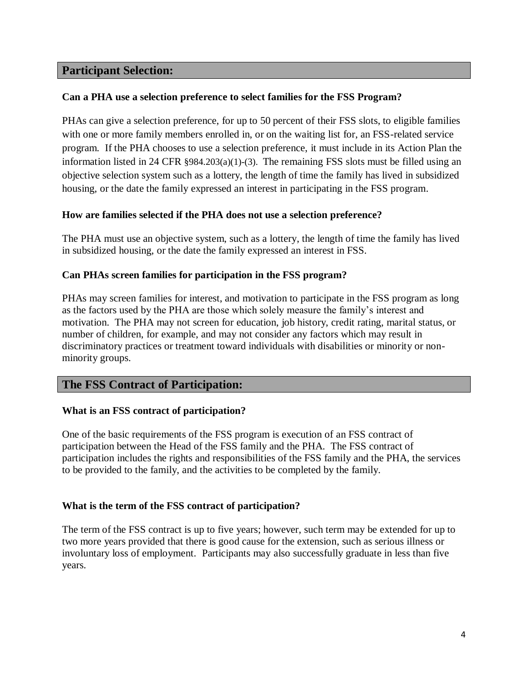# **Participant Selection:**

# **Can a PHA use a selection preference to select families for the FSS Program?**

PHAs can give a selection preference, for up to 50 percent of their FSS slots, to eligible families with one or more family members enrolled in, or on the waiting list for, an FSS-related service program. If the PHA chooses to use a selection preference, it must include in its Action Plan the information listed in 24 CFR §984.203(a)(1)-(3).The remaining FSS slots must be filled using an objective selection system such as a lottery, the length of time the family has lived in subsidized housing, or the date the family expressed an interest in participating in the FSS program.

# **How are families selected if the PHA does not use a selection preference?**

The PHA must use an objective system, such as a lottery, the length of time the family has lived in subsidized housing, or the date the family expressed an interest in FSS.

# **Can PHAs screen families for participation in the FSS program?**

PHAs may screen families for interest, and motivation to participate in the FSS program as long as the factors used by the PHA are those which solely measure the family's interest and motivation. The PHA may not screen for education, job history, credit rating, marital status, or number of children, for example, and may not consider any factors which may result in discriminatory practices or treatment toward individuals with disabilities or minority or nonminority groups.

# **The FSS Contract of Participation:**

# **What is an FSS contract of participation?**

One of the basic requirements of the FSS program is execution of an FSS contract of participation between the Head of the FSS family and the PHA. The FSS contract of participation includes the rights and responsibilities of the FSS family and the PHA, the services to be provided to the family, and the activities to be completed by the family.

# **What is the term of the FSS contract of participation?**

The term of the FSS contract is up to five years; however, such term may be extended for up to two more years provided that there is good cause for the extension, such as serious illness or involuntary loss of employment. Participants may also successfully graduate in less than five years.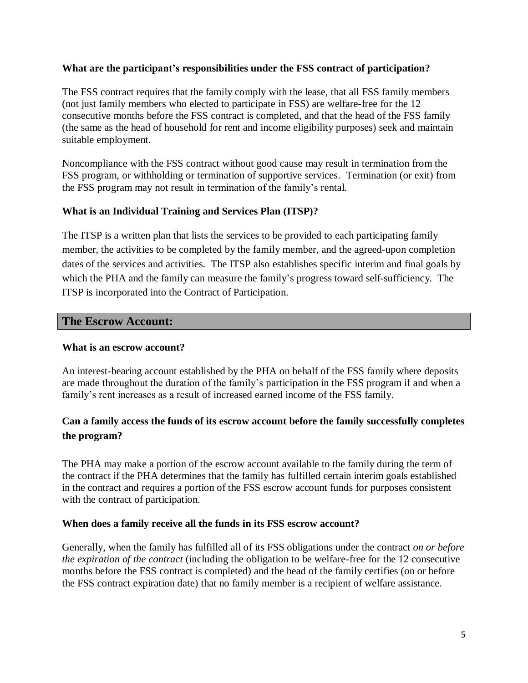#### **What are the participant's responsibilities under the FSS contract of participation?**

The FSS contract requires that the family comply with the lease, that all FSS family members (not just family members who elected to participate in FSS) are welfare-free for the 12 consecutive months before the FSS contract is completed, and that the head of the FSS family (the same as the head of household for rent and income eligibility purposes) seek and maintain suitable employment.

Noncompliance with the FSS contract without good cause may result in termination from the FSS program, or withholding or termination of supportive services. Termination (or exit) from the FSS program may not result in termination of the family's rental.

#### **What is an Individual Training and Services Plan (ITSP)?**

The ITSP is a written plan that lists the services to be provided to each participating family member, the activities to be completed by the family member, and the agreed-upon completion dates of the services and activities. The ITSP also establishes specific interim and final goals by which the PHA and the family can measure the family's progress toward self-sufficiency. The ITSP is incorporated into the Contract of Participation.

#### **The Escrow Account:**

#### **What is an escrow account?**

An interest-bearing account established by the PHA on behalf of the FSS family where deposits are made throughout the duration of the family's participation in the FSS program if and when a family's rent increases as a result of increased earned income of the FSS family.

# **Can a family access the funds of its escrow account before the family successfully completes the program?**

The PHA may make a portion of the escrow account available to the family during the term of the contract if the PHA determines that the family has fulfilled certain interim goals established in the contract and requires a portion of the FSS escrow account funds for purposes consistent with the contract of participation.

#### **When does a family receive all the funds in its FSS escrow account?**

Generally, when the family has fulfilled all of its FSS obligations under the contract *on or before the expiration of the contract* (including the obligation to be welfare-free for the 12 consecutive months before the FSS contract is completed) and the head of the family certifies (on or before the FSS contract expiration date) that no family member is a recipient of welfare assistance.